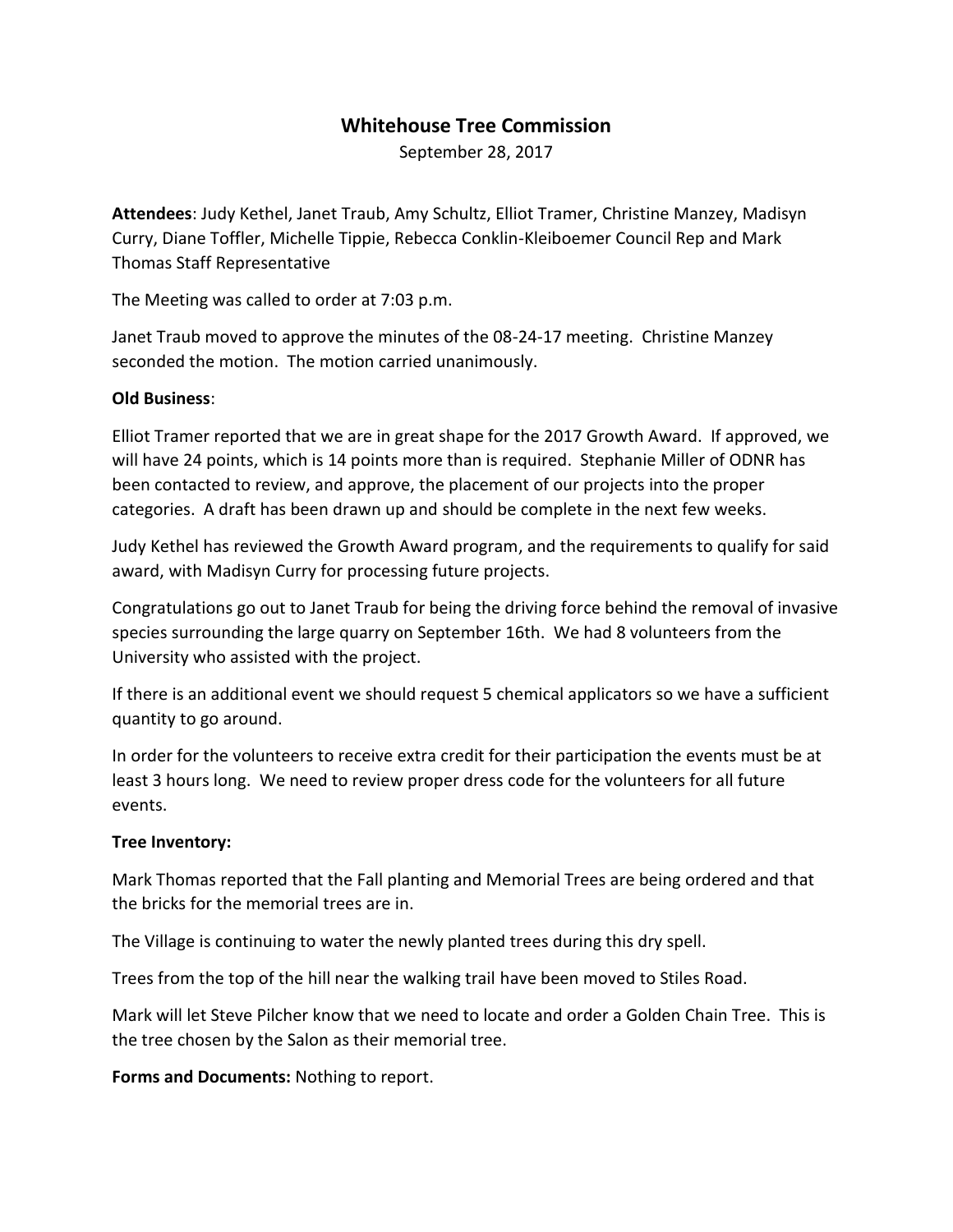# **Whitehouse Tree Commission**

September 28, 2017

**Attendees**: Judy Kethel, Janet Traub, Amy Schultz, Elliot Tramer, Christine Manzey, Madisyn Curry, Diane Toffler, Michelle Tippie, Rebecca Conklin-Kleiboemer Council Rep and Mark Thomas Staff Representative

The Meeting was called to order at 7:03 p.m.

Janet Traub moved to approve the minutes of the 08-24-17 meeting. Christine Manzey seconded the motion. The motion carried unanimously.

### **Old Business**:

Elliot Tramer reported that we are in great shape for the 2017 Growth Award. If approved, we will have 24 points, which is 14 points more than is required. Stephanie Miller of ODNR has been contacted to review, and approve, the placement of our projects into the proper categories. A draft has been drawn up and should be complete in the next few weeks.

Judy Kethel has reviewed the Growth Award program, and the requirements to qualify for said award, with Madisyn Curry for processing future projects.

Congratulations go out to Janet Traub for being the driving force behind the removal of invasive species surrounding the large quarry on September 16th. We had 8 volunteers from the University who assisted with the project.

If there is an additional event we should request 5 chemical applicators so we have a sufficient quantity to go around.

In order for the volunteers to receive extra credit for their participation the events must be at least 3 hours long. We need to review proper dress code for the volunteers for all future events.

### **Tree Inventory:**

Mark Thomas reported that the Fall planting and Memorial Trees are being ordered and that the bricks for the memorial trees are in.

The Village is continuing to water the newly planted trees during this dry spell.

Trees from the top of the hill near the walking trail have been moved to Stiles Road.

Mark will let Steve Pilcher know that we need to locate and order a Golden Chain Tree. This is the tree chosen by the Salon as their memorial tree.

**Forms and Documents:** Nothing to report.